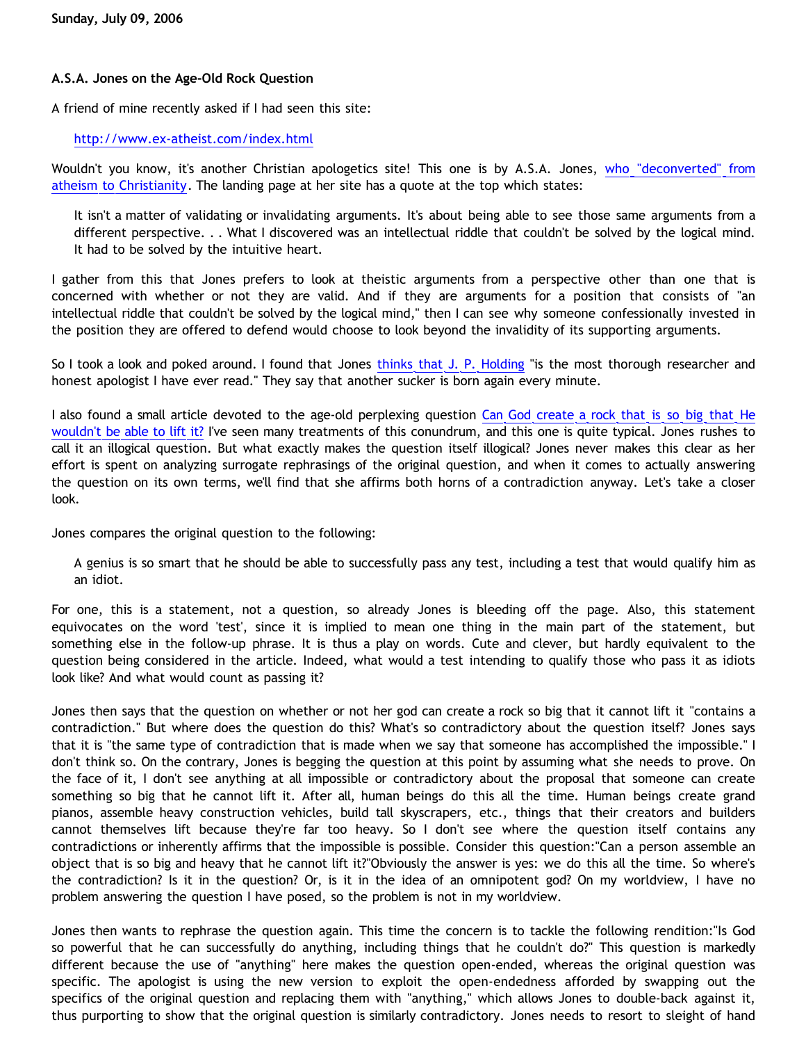## **A.S.A. Jones on the Age-Old Rock Question**

A friend of mine recently asked if I had seen this site:

## <http://www.ex-atheist.com/index.html>

Wouldn't you know, it's another Christian apologetics site! This one is by A.S.A. Jones, [who "deconverted" from](http://humanknowledge.net/Philosophy/Metaphysics/Theology/JonesDeconversion.html) [atheism to Christianity.](http://humanknowledge.net/Philosophy/Metaphysics/Theology/JonesDeconversion.html) The landing page at her site has a quote at the top which states:

It isn't a matter of validating or invalidating arguments. It's about being able to see those same arguments from a different perspective. . . What I discovered was an intellectual riddle that couldn't be solved by the logical mind. It had to be solved by the intuitive heart.

I gather from this that Jones prefers to look at theistic arguments from a perspective other than one that is concerned with whether or not they are valid. And if they are arguments for a position that consists of "an intellectual riddle that couldn't be solved by the logical mind," then I can see why someone confessionally invested in the position they are offered to defend would choose to look beyond the invalidity of its supporting arguments.

So I took a look and poked around. I found that Jones [thinks that J. P. Holding](http://www.ex-atheist.com/j-p-holding.html) "is the most thorough researcher and honest apologist I have ever read." They say that another sucker is born again every minute.

I also found a small article devoted to the age-old perplexing question [Can God create a rock that is so big that He](http://www.ex-atheist.com/Big-Rock.html) [wouldn't be able to lift it?](http://www.ex-atheist.com/Big-Rock.html) I've seen many treatments of this conundrum, and this one is quite typical. Jones rushes to call it an illogical question. But what exactly makes the question itself illogical? Jones never makes this clear as her effort is spent on analyzing surrogate rephrasings of the original question, and when it comes to actually answering the question on its own terms, we'll find that she affirms both horns of a contradiction anyway. Let's take a closer look.

Jones compares the original question to the following:

A genius is so smart that he should be able to successfully pass any test, including a test that would qualify him as an idiot.

For one, this is a statement, not a question, so already Jones is bleeding off the page. Also, this statement equivocates on the word 'test', since it is implied to mean one thing in the main part of the statement, but something else in the follow-up phrase. It is thus a play on words. Cute and clever, but hardly equivalent to the question being considered in the article. Indeed, what would a test intending to qualify those who pass it as idiots look like? And what would count as passing it?

Jones then says that the question on whether or not her god can create a rock so big that it cannot lift it "contains a contradiction." But where does the question do this? What's so contradictory about the question itself? Jones says that it is "the same type of contradiction that is made when we say that someone has accomplished the impossible." I don't think so. On the contrary, Jones is begging the question at this point by assuming what she needs to prove. On the face of it, I don't see anything at all impossible or contradictory about the proposal that someone can create something so big that he cannot lift it. After all, human beings do this all the time. Human beings create grand pianos, assemble heavy construction vehicles, build tall skyscrapers, etc., things that their creators and builders cannot themselves lift because they're far too heavy. So I don't see where the question itself contains any contradictions or inherently affirms that the impossible is possible. Consider this question:"Can a person assemble an object that is so big and heavy that he cannot lift it?"Obviously the answer is yes: we do this all the time. So where's the contradiction? Is it in the question? Or, is it in the idea of an omnipotent god? On my worldview, I have no problem answering the question I have posed, so the problem is not in my worldview.

Jones then wants to rephrase the question again. This time the concern is to tackle the following rendition:"Is God so powerful that he can successfully do anything, including things that he couldn't do?" This question is markedly different because the use of "anything" here makes the question open-ended, whereas the original question was specific. The apologist is using the new version to exploit the open-endedness afforded by swapping out the specifics of the original question and replacing them with "anything," which allows Jones to double-back against it, thus purporting to show that the original question is similarly contradictory. Jones needs to resort to sleight of hand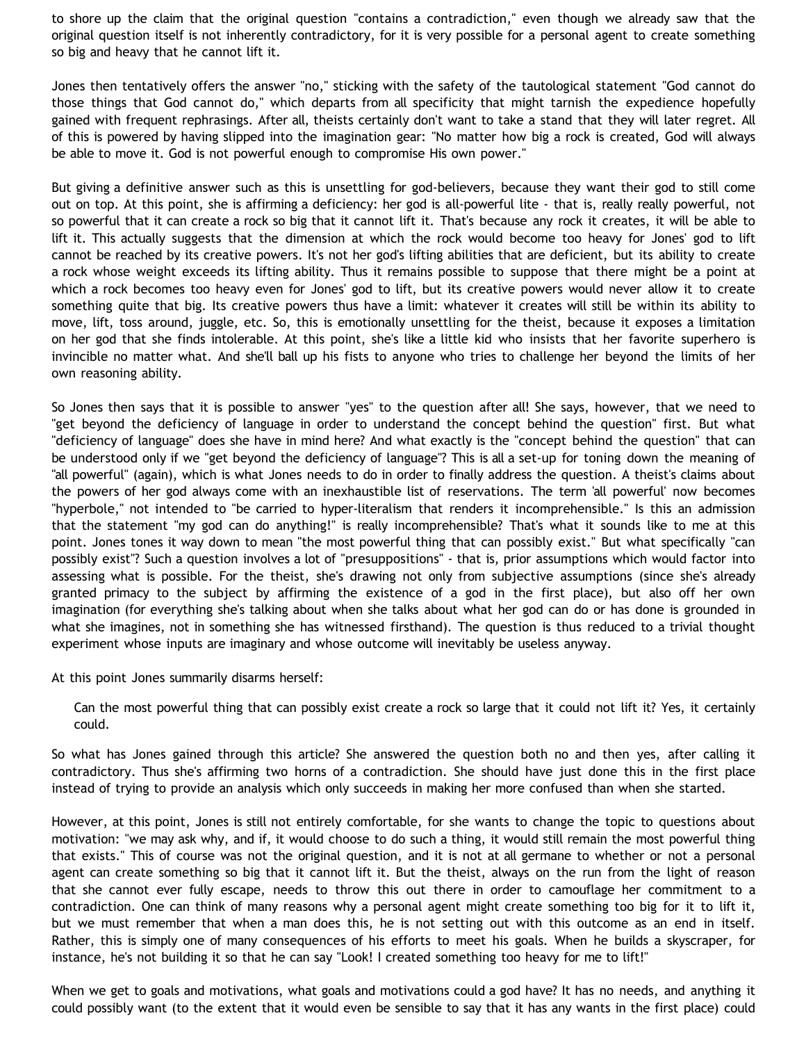to shore up the claim that the original question "contains a contradiction," even though we already saw that the original question itself is not inherently contradictory, for it is very possible for a personal agent to create something so big and heavy that he cannot lift it.

Jones then tentatively offers the answer "no," sticking with the safety of the tautological statement "God cannot do those things that God cannot do," which departs from all specificity that might tarnish the expedience hopefully gained with frequent rephrasings. After all, theists certainly don't want to take a stand that they will later regret. All of this is powered by having slipped into the imagination gear: "No matter how big a rock is created, God will always be able to move it. God is not powerful enough to compromise His own power."

But giving a definitive answer such as this is unsettling for god-believers, because they want their god to still come out on top. At this point, she is affirming a deficiency: her god is all-powerful lite - that is, really really powerful, not so powerful that it can create a rock so big that it cannot lift it. That's because any rock it creates, it will be able to lift it. This actually suggests that the dimension at which the rock would become too heavy for Jones' god to lift cannot be reached by its creative powers. It's not her god's lifting abilities that are deficient, but its ability to create a rock whose weight exceeds its lifting ability. Thus it remains possible to suppose that there might be a point at which a rock becomes too heavy even for Jones' god to lift, but its creative powers would never allow it to create something quite that big. Its creative powers thus have a limit: whatever it creates will still be within its ability to move, lift, toss around, juggle, etc. So, this is emotionally unsettling for the theist, because it exposes a limitation on her god that she finds intolerable. At this point, she's like a little kid who insists that her favorite superhero is invincible no matter what. And she'll ball up his fists to anyone who tries to challenge her beyond the limits of her own reasoning ability.

So Jones then says that it is possible to answer "yes" to the question after all! She says, however, that we need to "get beyond the deficiency of language in order to understand the concept behind the question" first. But what "deficiency of language" does she have in mind here? And what exactly is the "concept behind the question" that can be understood only if we "get beyond the deficiency of language"? This is all a set-up for toning down the meaning of "all powerful" (again), which is what Jones needs to do in order to finally address the question. A theist's claims about the powers of her god always come with an inexhaustible list of reservations. The term 'all powerful' now becomes "hyperbole," not intended to "be carried to hyper-literalism that renders it incomprehensible." Is this an admission that the statement "my god can do anything!" is really incomprehensible? That's what it sounds like to me at this point. Jones tones it way down to mean "the most powerful thing that can possibly exist." But what specifically "can possibly exist"? Such a question involves a lot of "presuppositions" - that is, prior assumptions which would factor into assessing what is possible. For the theist, she's drawing not only from subjective assumptions (since she's already granted primacy to the subject by affirming the existence of a god in the first place), but also off her own imagination (for everything she's talking about when she talks about what her god can do or has done is grounded in what she imagines, not in something she has witnessed firsthand). The question is thus reduced to a trivial thought experiment whose inputs are imaginary and whose outcome will inevitably be useless anyway.

At this point Jones summarily disarms herself:

Can the most powerful thing that can possibly exist create a rock so large that it could not lift it? Yes, it certainly could.

So what has Jones gained through this article? She answered the question both no and then yes, after calling it contradictory. Thus she's affirming two horns of a contradiction. She should have just done this in the first place instead of trying to provide an analysis which only succeeds in making her more confused than when she started.

However, at this point, Jones is still not entirely comfortable, for she wants to change the topic to questions about motivation: "we may ask why, and if, it would choose to do such a thing, it would still remain the most powerful thing that exists." This of course was not the original question, and it is not at all germane to whether or not a personal agent can create something so big that it cannot lift it. But the theist, always on the run from the light of reason that she cannot ever fully escape, needs to throw this out there in order to camouflage her commitment to a contradiction. One can think of many reasons why a personal agent might create something too big for it to lift it, but we must remember that when a man does this, he is not setting out with this outcome as an end in itself. Rather, this is simply one of many consequences of his efforts to meet his goals. When he builds a skyscraper, for instance, he's not building it so that he can say "Look! I created something too heavy for me to lift!"

When we get to goals and motivations, what goals and motivations could a god have? It has no needs, and anything it could possibly want (to the extent that it would even be sensible to say that it has any wants in the first place) could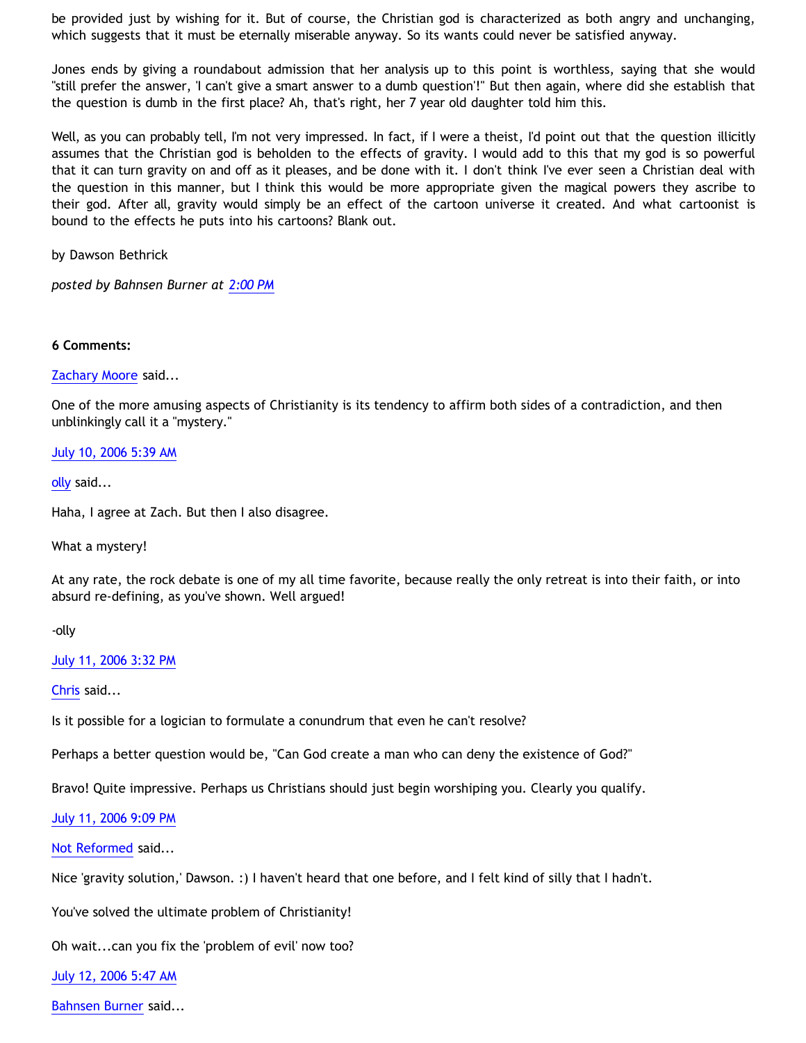be provided just by wishing for it. But of course, the Christian god is characterized as both angry and unchanging, which suggests that it must be eternally miserable anyway. So its wants could never be satisfied anyway.

Jones ends by giving a roundabout admission that her analysis up to this point is worthless, saying that she would "still prefer the answer, 'I can't give a smart answer to a dumb question'!" But then again, where did she establish that the question is dumb in the first place? Ah, that's right, her 7 year old daughter told him this.

Well, as you can probably tell, I'm not very impressed. In fact, if I were a theist, I'd point out that the question illicitly assumes that the Christian god is beholden to the effects of gravity. I would add to this that my god is so powerful that it can turn gravity on and off as it pleases, and be done with it. I don't think I've ever seen a Christian deal with the question in this manner, but I think this would be more appropriate given the magical powers they ascribe to their god. After all, gravity would simply be an effect of the cartoon universe it created. And what cartoonist is bound to the effects he puts into his cartoons? Blank out.

by Dawson Bethrick

*posted by Bahnsen Burner at [2:00 PM](http://bahnsenburner.blogspot.com/2006/07/asa-jones-on-age-old-rock-question.html)*

## **6 Comments:**

[Zachary Moore](http://www.blogger.com/profile/7564330) said...

One of the more amusing aspects of Christianity is its tendency to affirm both sides of a contradiction, and then unblinkingly call it a "mystery."

## [July 10, 2006 5:39 AM](http://bahnsenburner.blogspot.com/2006/07/115253517552377729)

[olly](http://www.blogger.com/profile/22598034) said...

Haha, I agree at Zach. But then I also disagree.

What a mystery!

At any rate, the rock debate is one of my all time favorite, because really the only retreat is into their faith, or into absurd re-defining, as you've shown. Well argued!

-olly

[July 11, 2006 3:32 PM](http://bahnsenburner.blogspot.com/2006/07/115265714714537700)

[Chris](http://www.blogger.com/profile/17796086) said...

Is it possible for a logician to formulate a conundrum that even he can't resolve?

Perhaps a better question would be, "Can God create a man who can deny the existence of God?"

Bravo! Quite impressive. Perhaps us Christians should just begin worshiping you. Clearly you qualify.

[July 11, 2006 9:09 PM](http://bahnsenburner.blogspot.com/2006/07/115267734780785170)

[Not Reformed](http://www.blogger.com/profile/8159639) said...

Nice 'gravity solution,' Dawson. :) I haven't heard that one before, and I felt kind of silly that I hadn't.

You've solved the ultimate problem of Christianity!

Oh wait...can you fix the 'problem of evil' now too?

[July 12, 2006 5:47 AM](http://bahnsenburner.blogspot.com/2006/07/115270843421858473)

[Bahnsen Burner](http://www.blogger.com/profile/7766918) said...